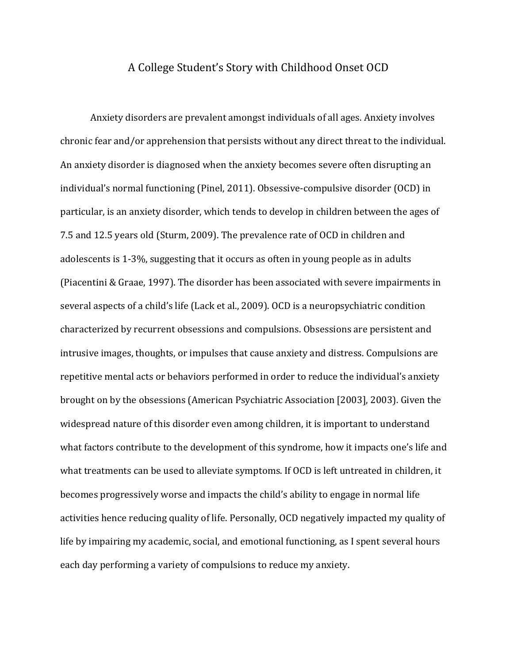## A College Student's Story with Childhood Onset OCD

Anxiety disorders are prevalent amongst individuals of all ages. Anxiety involves chronic fear and/or apprehension that persists without any direct threat to the individual. An anxiety disorder is diagnosed when the anxiety becomes severe often disrupting an individual's normal functioning (Pinel, 2011). Obsessive-compulsive disorder (OCD) in particular, is an anxiety disorder, which tends to develop in children between the ages of 7.5 and 12.5 years old (Sturm, 2009). The prevalence rate of OCD in children and adolescents is 1-3%, suggesting that it occurs as often in young people as in adults (Piacentini & Graae, 1997). The disorder has been associated with severe impairments in several aspects of a child's life (Lack et al., 2009). OCD is a neuropsychiatric condition characterized by recurrent obsessions and compulsions. Obsessions are persistent and intrusive images, thoughts, or impulses that cause anxiety and distress. Compulsions are repetitive mental acts or behaviors performed in order to reduce the individual's anxiety brought on by the obsessions (American Psychiatric Association [2003], 2003). Given the widespread nature of this disorder even among children, it is important to understand what factors contribute to the development of this syndrome, how it impacts one's life and what treatments can be used to alleviate symptoms. If OCD is left untreated in children, it becomes progressively worse and impacts the child's ability to engage in normal life activities hence reducing quality of life. Personally, OCD negatively impacted my quality of life by impairing my academic, social, and emotional functioning, as I spent several hours each day performing a variety of compulsions to reduce my anxiety.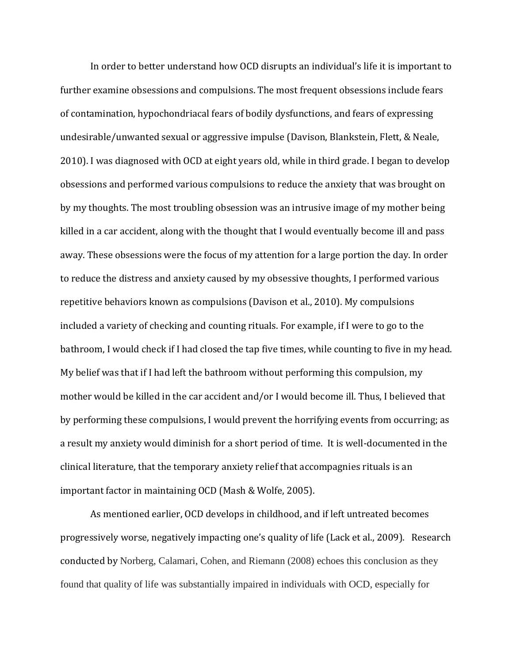In order to better understand how OCD disrupts an individual's life it is important to further examine obsessions and compulsions. The most frequent obsessions include fears of contamination, hypochondriacal fears of bodily dysfunctions, and fears of expressing undesirable/unwanted sexual or aggressive impulse (Davison, Blankstein, Flett, & Neale, 2010). I was diagnosed with OCD at eight years old, while in third grade. I began to develop obsessions and performed various compulsions to reduce the anxiety that was brought on by my thoughts. The most troubling obsession was an intrusive image of my mother being killed in a car accident, along with the thought that I would eventually become ill and pass away. These obsessions were the focus of my attention for a large portion the day. In order to reduce the distress and anxiety caused by my obsessive thoughts, I performed various repetitive behaviors known as compulsions (Davison et al., 2010). My compulsions included a variety of checking and counting rituals. For example, if I were to go to the bathroom, I would check if I had closed the tap five times, while counting to five in my head. My belief was that if I had left the bathroom without performing this compulsion, my mother would be killed in the car accident and/or I would become ill. Thus, I believed that by performing these compulsions, I would prevent the horrifying events from occurring; as a result my anxiety would diminish for a short period of time. It is well-documented in the clinical literature, that the temporary anxiety relief that accompagnies rituals is an important factor in maintaining OCD (Mash & Wolfe, 2005).

As mentioned earlier, OCD develops in childhood, and if left untreated becomes progressively worse, negatively impacting one's quality of life (Lack et al., 2009). Research conducted by Norberg, Calamari, Cohen, and Riemann (2008) echoes this conclusion as they found that quality of life was substantially impaired in individuals with OCD, especially for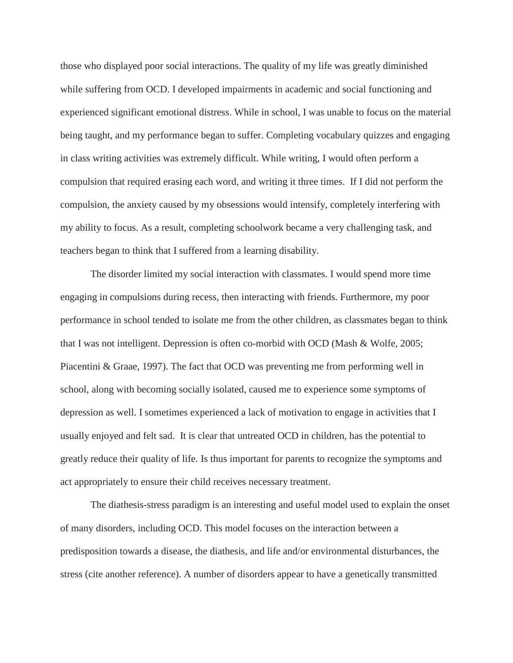those who displayed poor social interactions. The quality of my life was greatly diminished while suffering from OCD. I developed impairments in academic and social functioning and experienced significant emotional distress. While in school, I was unable to focus on the material being taught, and my performance began to suffer. Completing vocabulary quizzes and engaging in class writing activities was extremely difficult. While writing, I would often perform a compulsion that required erasing each word, and writing it three times. If I did not perform the compulsion, the anxiety caused by my obsessions would intensify, completely interfering with my ability to focus. As a result, completing schoolwork became a very challenging task, and teachers began to think that I suffered from a learning disability.

The disorder limited my social interaction with classmates. I would spend more time engaging in compulsions during recess, then interacting with friends. Furthermore, my poor performance in school tended to isolate me from the other children, as classmates began to think that I was not intelligent. Depression is often co-morbid with OCD (Mash & Wolfe, 2005; Piacentini & Graae, 1997). The fact that OCD was preventing me from performing well in school, along with becoming socially isolated, caused me to experience some symptoms of depression as well. I sometimes experienced a lack of motivation to engage in activities that I usually enjoyed and felt sad. It is clear that untreated OCD in children, has the potential to greatly reduce their quality of life. Is thus important for parents to recognize the symptoms and act appropriately to ensure their child receives necessary treatment.

The diathesis-stress paradigm is an interesting and useful model used to explain the onset of many disorders, including OCD. This model focuses on the interaction between a predisposition towards a disease, the diathesis, and life and/or environmental disturbances, the stress (cite another reference). A number of disorders appear to have a genetically transmitted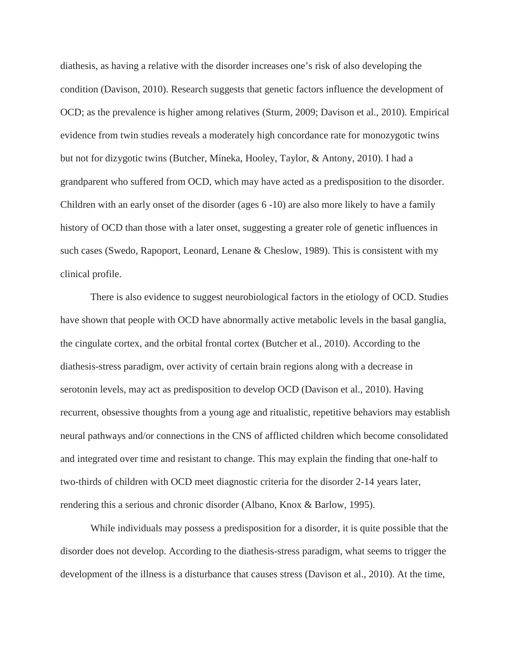diathesis, as having a relative with the disorder increases one's risk of also developing the condition (Davison, 2010). Research suggests that genetic factors influence the development of OCD; as the prevalence is higher among relatives (Sturm, 2009; Davison et al., 2010). Empirical evidence from twin studies reveals a moderately high concordance rate for monozygotic twins but not for dizygotic twins (Butcher, Mineka, Hooley, Taylor, & Antony, 2010). I had a grandparent who suffered from OCD, which may have acted as a predisposition to the disorder. Children with an early onset of the disorder (ages 6 -10) are also more likely to have a family history of OCD than those with a later onset, suggesting a greater role of genetic influences in such cases (Swedo, Rapoport, Leonard, Lenane & Cheslow, 1989). This is consistent with my clinical profile.

There is also evidence to suggest neurobiological factors in the etiology of OCD. Studies have shown that people with OCD have abnormally active metabolic levels in the basal ganglia, the cingulate cortex, and the orbital frontal cortex (Butcher et al., 2010). According to the diathesis-stress paradigm, over activity of certain brain regions along with a decrease in serotonin levels, may act as predisposition to develop OCD (Davison et al., 2010). Having recurrent, obsessive thoughts from a young age and ritualistic, repetitive behaviors may establish neural pathways and/or connections in the CNS of afflicted children which become consolidated and integrated over time and resistant to change. This may explain the finding that one-half to two-thirds of children with OCD meet diagnostic criteria for the disorder 2-14 years later, rendering this a serious and chronic disorder (Albano, Knox & Barlow, 1995).

While individuals may possess a predisposition for a disorder, it is quite possible that the disorder does not develop. According to the diathesis-stress paradigm, what seems to trigger the development of the illness is a disturbance that causes stress (Davison et al., 2010). At the time,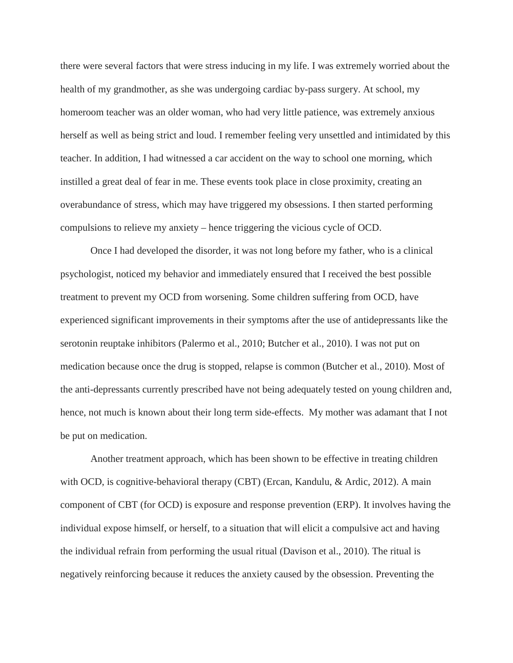there were several factors that were stress inducing in my life. I was extremely worried about the health of my grandmother, as she was undergoing cardiac by-pass surgery. At school, my homeroom teacher was an older woman, who had very little patience, was extremely anxious herself as well as being strict and loud. I remember feeling very unsettled and intimidated by this teacher. In addition, I had witnessed a car accident on the way to school one morning, which instilled a great deal of fear in me. These events took place in close proximity, creating an overabundance of stress, which may have triggered my obsessions. I then started performing compulsions to relieve my anxiety – hence triggering the vicious cycle of OCD.

Once I had developed the disorder, it was not long before my father, who is a clinical psychologist, noticed my behavior and immediately ensured that I received the best possible treatment to prevent my OCD from worsening. Some children suffering from OCD, have experienced significant improvements in their symptoms after the use of antidepressants like the serotonin reuptake inhibitors (Palermo et al., 2010; Butcher et al., 2010). I was not put on medication because once the drug is stopped, relapse is common (Butcher et al., 2010). Most of the anti-depressants currently prescribed have not being adequately tested on young children and, hence, not much is known about their long term side-effects. My mother was adamant that I not be put on medication.

Another treatment approach, which has been shown to be effective in treating children with OCD, is cognitive-behavioral therapy (CBT) (Ercan, Kandulu, & Ardic, 2012). A main component of CBT (for OCD) is exposure and response prevention (ERP). It involves having the individual expose himself, or herself, to a situation that will elicit a compulsive act and having the individual refrain from performing the usual ritual (Davison et al., 2010). The ritual is negatively reinforcing because it reduces the anxiety caused by the obsession. Preventing the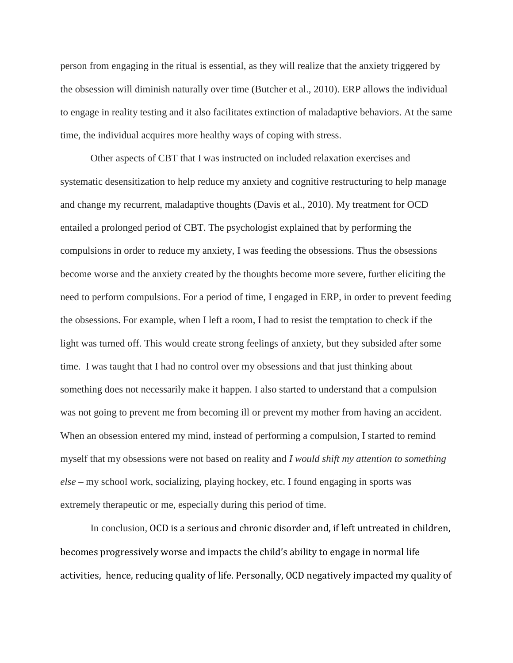person from engaging in the ritual is essential, as they will realize that the anxiety triggered by the obsession will diminish naturally over time (Butcher et al., 2010). ERP allows the individual to engage in reality testing and it also facilitates extinction of maladaptive behaviors. At the same time, the individual acquires more healthy ways of coping with stress.

Other aspects of CBT that I was instructed on included relaxation exercises and systematic desensitization to help reduce my anxiety and cognitive restructuring to help manage and change my recurrent, maladaptive thoughts (Davis et al., 2010). My treatment for OCD entailed a prolonged period of CBT. The psychologist explained that by performing the compulsions in order to reduce my anxiety, I was feeding the obsessions. Thus the obsessions become worse and the anxiety created by the thoughts become more severe, further eliciting the need to perform compulsions. For a period of time, I engaged in ERP, in order to prevent feeding the obsessions. For example, when I left a room, I had to resist the temptation to check if the light was turned off. This would create strong feelings of anxiety, but they subsided after some time. I was taught that I had no control over my obsessions and that just thinking about something does not necessarily make it happen. I also started to understand that a compulsion was not going to prevent me from becoming ill or prevent my mother from having an accident. When an obsession entered my mind, instead of performing a compulsion, I started to remind myself that my obsessions were not based on reality and *I would shift my attention to something else* – my school work, socializing, playing hockey, etc. I found engaging in sports was extremely therapeutic or me, especially during this period of time.

In conclusion, OCD is a serious and chronic disorder and, if left untreated in children, becomes progressively worse and impacts the child's ability to engage in normal life activities, hence, reducing quality of life. Personally, OCD negatively impacted my quality of